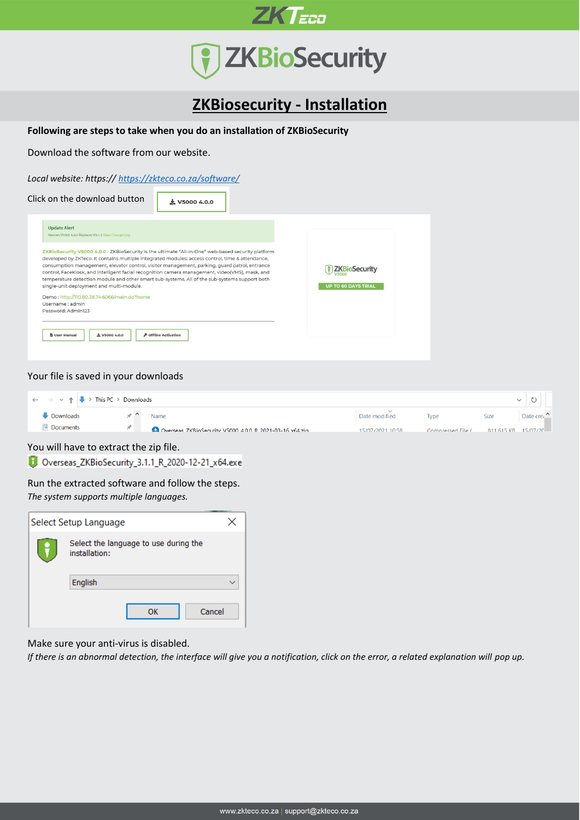



## **ZKBiosecurity - Installation**

**Following are steps to take when you do an installation of ZKBioSecurity**

Download the software from our website.

*Local website: https:// <https://zkteco.co.za/software/>*

| Click on the download button                                               | $\pm$ V5000 4.0.0                                                                                                                                                                                                                                                                                                                                                                                                                                                                                           |                                                    |
|----------------------------------------------------------------------------|-------------------------------------------------------------------------------------------------------------------------------------------------------------------------------------------------------------------------------------------------------------------------------------------------------------------------------------------------------------------------------------------------------------------------------------------------------------------------------------------------------------|----------------------------------------------------|
| <b>Update Alert</b><br>Version V5000 4.0.0 Replaces V3.1.1 View Change Log |                                                                                                                                                                                                                                                                                                                                                                                                                                                                                                             |                                                    |
| single-unit deployment and multi-module.                                   | ZKBioSecurity V5000 4.0.0 : ZKBioSecurity is the ultimate "All-in-One" web-based security platform<br>developed by ZKTeco. It contains multiple integrated modules: access control, time & attendance,<br>consumption management, elevator control, visitor management, parking, quard patrol, entrance<br>control, FaceKiosk, and intelligent facial recognition camera management, video(VMS), mask, and<br>temperature detection module and other smart sub-systems. All of the sub-systems support both | <b>ZKBioSecurity</b><br><b>UP TO 60 DAYS TRIAL</b> |
| Demo: http://110.80.38.74:6066/main.do?home                                |                                                                                                                                                                                                                                                                                                                                                                                                                                                                                                             |                                                    |
| Username : admin                                                           |                                                                                                                                                                                                                                                                                                                                                                                                                                                                                                             |                                                    |
| Password: Admin123                                                         |                                                                                                                                                                                                                                                                                                                                                                                                                                                                                                             |                                                    |
| <b>B</b> User Manual<br>$+$ V5000 4.0.0                                    | <b><i>P</i></b> Offline Activation                                                                                                                                                                                                                                                                                                                                                                                                                                                                          |                                                    |

#### Your file is saved in your downloads

| $\left \leftarrow\right\  \rightarrow \left \leftarrow\right\ $ > This PC > Downloads |                                                       |                  |                   |                     |           |  |
|---------------------------------------------------------------------------------------|-------------------------------------------------------|------------------|-------------------|---------------------|-----------|--|
| · Downloads                                                                           | Name                                                  | Date modified    | <b>Type</b>       | Size                | Date crea |  |
| <b>Documents</b>                                                                      | Overseas ZKBioSecurity V5000 400 R 2021-03-16 x64 zin | 15/07/2021 10:58 | Compressed File ( | 811 615 KR 15/07/20 |           |  |

You will have to extract the zip file.

Overseas\_ZKBioSecurity\_3.1.1\_R\_2020-12-21\_x64.exe

Run the extracted software and follow the steps. *The system supports multiple languages.*

| Select Setup Language                                  |  |
|--------------------------------------------------------|--|
| Select the language to use during the<br>installation: |  |
| English                                                |  |
| Cancel<br>ок                                           |  |

Make sure your anti-virus is disabled.

*If there is an abnormal detection, the interface will give you a notification, click on the error, a related explanation will pop up.*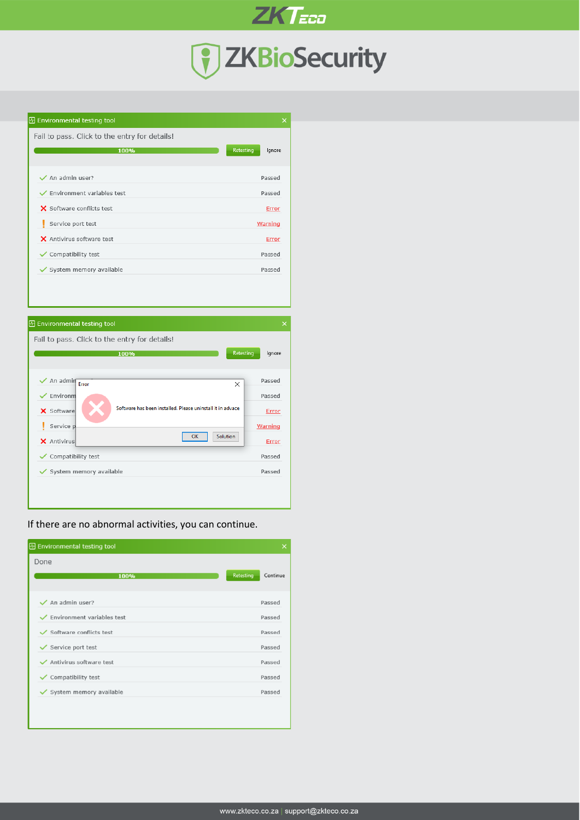

**ZKTECO** 

**B** Environmental testing tool

| Fail to pass. Click to the entry for details! |                     |
|-----------------------------------------------|---------------------|
| 100%                                          | Retesting<br>lgnore |
| $\checkmark$ An admin user?                   | Passed              |
| $\checkmark$ Environment variables test       | Passed              |
| X Software conflicts test                     | Error               |
| Service port test                             | Warning             |
| X Antivirus software test                     | <b>Error</b>        |
| $\checkmark$ Compatibility test               | Passed              |
| System memory available                       | Passed              |



If there are no abnormal activities, you can continue.

| <b><i><u></u></i></b> Environmental testing tool | ×                     |
|--------------------------------------------------|-----------------------|
| Done<br>100%                                     | Retesting<br>Continue |
| $\checkmark$ An admin user?                      | Passed                |
| $\checkmark$ Environment variables test          | Passed                |
| $\checkmark$ Software conflicts test             | Passed                |
| $\checkmark$ Service port test                   | Passed                |
| Antivirus software test                          | Passed                |
| $\checkmark$ Compatibility test                  | Passed                |
| System memory available                          | Passed                |
|                                                  |                       |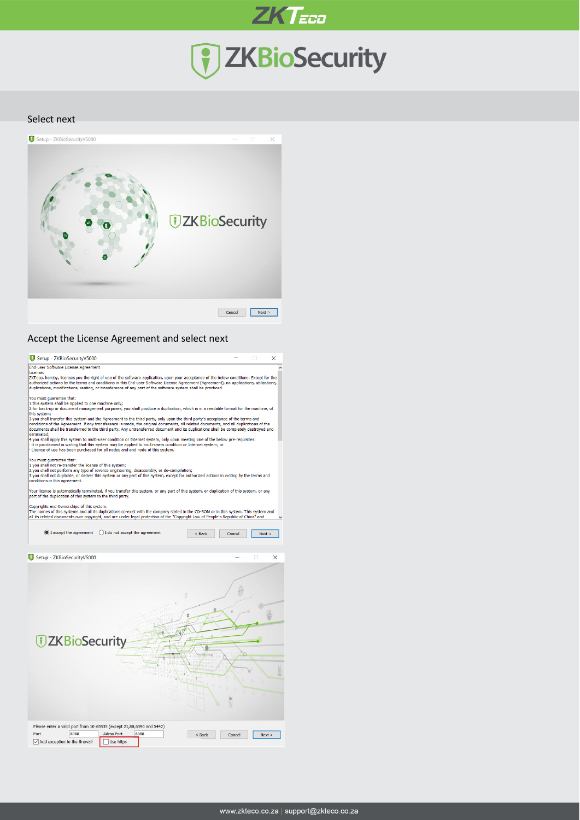

#### Select next



### Accept the License Agreement and select next

| Setup - ZKBioSecurityV5000                                                                                                                                                                                                                                                                                                                                                                                                                    |                                 |      |          |        |      |
|-----------------------------------------------------------------------------------------------------------------------------------------------------------------------------------------------------------------------------------------------------------------------------------------------------------------------------------------------------------------------------------------------------------------------------------------------|---------------------------------|------|----------|--------|------|
| End-user Software License Agreement<br>License:                                                                                                                                                                                                                                                                                                                                                                                               |                                 |      |          |        |      |
| ZKTeco, hereby, licenses you the right of use of the software application, upon your acceptance of the below conditions: Except for the<br>authorized actions by the terms and conditions in this End-user Software License Agreement (Agreement), no applications, utilizations,<br>duplications, modifications, renting, or transference of any part of the software system shall be practiced.                                             |                                 |      |          |        |      |
| You must quarantee that:<br>1.this system shall be applied to one machine only:<br>2.for back-up or document management purposes, you shall produce a duplication, which is in a readable format for the machine, of                                                                                                                                                                                                                          |                                 |      |          |        |      |
| this system;<br>3.you shall transfer this system and the Agreement to the third party, only upon the third party's acceptance of the terms and<br>conditions of the Agreement. If any transference is made, the original documents, all related documents, and all duplications of the<br>documents shall be transferred to the third party. Any untransferred document and its duplications shall be completely destroyed and<br>eliminated: |                                 |      |          |        |      |
| 4.you shall apply this system to multi-user condition or Internet system, only upon meeting one of the below pre-requisites:<br>it is proclaimed in writing that this system may be applied to multi-users condition or Internet system; or<br>License of use has been purchased for all nodes and end node of this system.                                                                                                                   |                                 |      |          |        |      |
| You must quarantee that:<br>1.you shall not re-transfer the license of this system;<br>2.you shall not perform any type of reverse engineering, disassembly, or de-compilation;<br>3.you shall not duplicate, or deliver this system or any part of this system, except for authorized actions in writing by the terms and<br>conditions in this agreement.                                                                                   |                                 |      |          |        |      |
| Your license is automatically terminated, if you transfer this system, or any part of this system, or duplication of this system, or any<br>part of the duplication of this system to the third party.                                                                                                                                                                                                                                        |                                 |      |          |        |      |
| Copyrights and Ownerships of this system:<br>The names of this systems and all its duplications co-exist with the company stated in the CD-ROM or in this system. This system and<br>all its related documents own copyright, and are under legal protection of the "Copyright Law of People's Republic of China" and                                                                                                                         |                                 |      |          |        |      |
| I accept the agreement                                                                                                                                                                                                                                                                                                                                                                                                                        | ◯ I do not accept the agreement |      | $<$ Back | Cancel | Next |
|                                                                                                                                                                                                                                                                                                                                                                                                                                               |                                 |      |          |        |      |
| Setup - ZKBioSecurityV5000                                                                                                                                                                                                                                                                                                                                                                                                                    |                                 |      |          |        | ×    |
|                                                                                                                                                                                                                                                                                                                                                                                                                                               |                                 |      | 0        |        |      |
|                                                                                                                                                                                                                                                                                                                                                                                                                                               |                                 |      | Ć        |        |      |
| <b>UZKBioSecurity</b>                                                                                                                                                                                                                                                                                                                                                                                                                         |                                 |      |          |        |      |
|                                                                                                                                                                                                                                                                                                                                                                                                                                               |                                 |      |          |        |      |
|                                                                                                                                                                                                                                                                                                                                                                                                                                               |                                 |      |          |        |      |
|                                                                                                                                                                                                                                                                                                                                                                                                                                               |                                 |      |          |        |      |
| Please enter a valid port from 10-65535 (except 21,80,6390 and 5442)<br>8098<br>Port                                                                                                                                                                                                                                                                                                                                                          | Adms Port                       | 8088 | $<$ Back | Cancel | Next |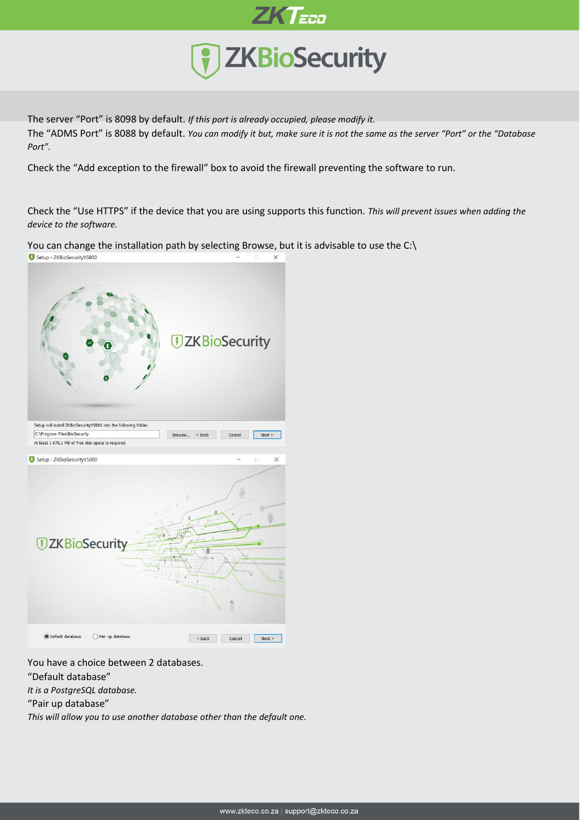

The server "Port" is 8098 by default. *If this port is already occupied, please modify it.* The "ADMS Port" is 8088 by default. *You can modify it but, make sure it is not the same as the server "Port" or the "Database Port".*

Check the "Add exception to the firewall" box to avoid the firewall preventing the software to run.

Check the "Use HTTPS" if the device that you are using supports this function. *This will prevent issues when adding the device to the software.*

You can change the installation path by selecting Browse, but it is advisable to use the C:\<br>  $\bullet$  Setup - ZKBioSecurityV5000



You have a choice between 2 databases.

"Default database"

*It is a PostgreSQL database.* 

"Pair up database"

*This will allow you to use another database other than the default one.*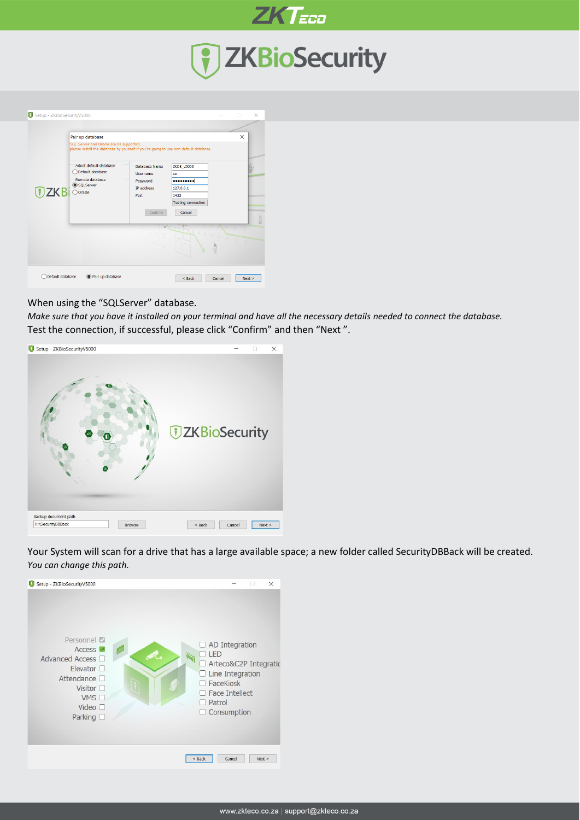

# 7 ZKBioSecurity



### When using the "SQLServer" database.

*Make sure that you have it installed on your terminal and have all the necessary details needed to connect the database.* Test the connection, if successful, please click "Confirm" and then "Next ".



Your System will scan for a drive that has a large available space; a new folder called SecurityDBBack will be created. *You can change this path.*

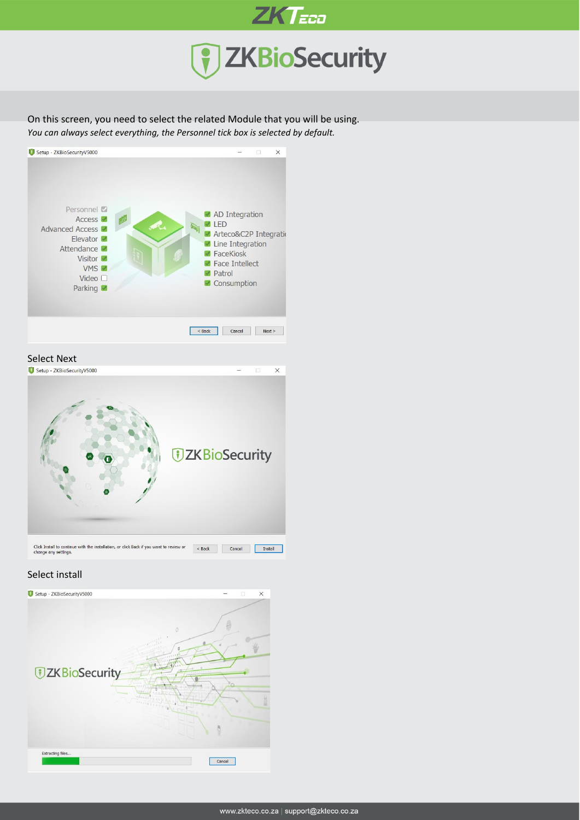

On this screen, you need to select the related Module that you will be using. *You can always select everything, the Personnel tick box is selected by default.*



Select Next<br>**O** Setup - ZKBioSecurityV5000



### Select install